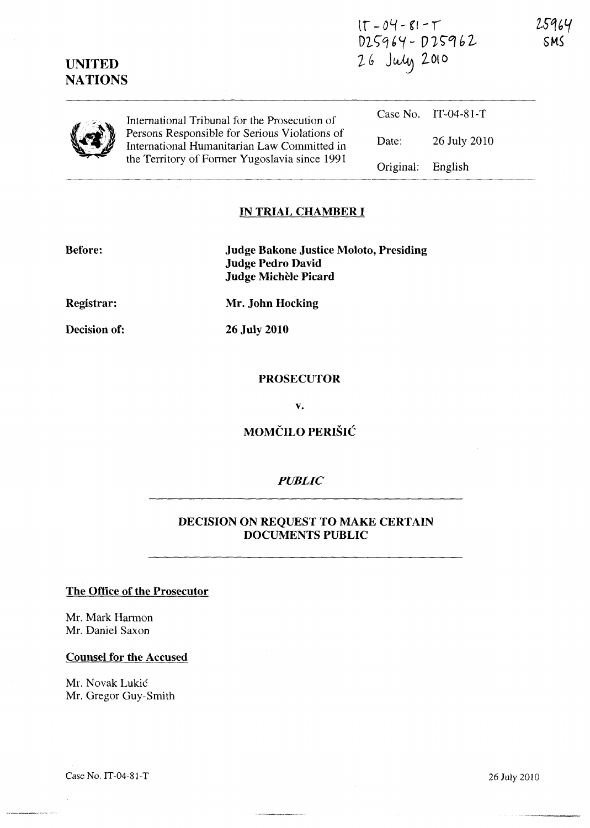| <b>UNITED</b><br><b>NATIONS</b> |                                                                                                                                               | $1T - 04 - 81 - T$<br>025964 - 025962<br>26 July 2010 |                     | 259<br>$S_{\mathcal{V}}$ |
|---------------------------------|-----------------------------------------------------------------------------------------------------------------------------------------------|-------------------------------------------------------|---------------------|--------------------------|
|                                 | International Tribunal for the Prosecution of                                                                                                 |                                                       | Case No. IT-04-81-T |                          |
|                                 | Persons Responsible for Serious Violations of<br>International Humanitarian Law Committed in<br>the Territory of Former Yugoslavia since 1991 | Date:                                                 | 26 July 2010        |                          |
|                                 |                                                                                                                                               | Original:                                             | English             |                          |

### IN TRIAL CHAMBER I

| <b>Before:</b> | <b>Judge Bakone Justice Moloto, Presiding</b> |
|----------------|-----------------------------------------------|
|                | <b>Judge Pedro David</b>                      |
|                | Judge Michèle Picard                          |
|                |                                               |

Registrar:

Decision of:

26 July 2010

Mr. John Hocking

#### **PROSECUTOR**

v.

# MOMČILO PERIŠIĆ

#### *PUBLIC*

### DECISION ON REQUEST TO MAKE CERTAIN DOCUMENTS PUBLIC

.<br>The contract introduced the change of the contract of the contract of the contract of the contract of the cont

## The Office of the Prosecutor

Mr. Mark Harmon Mr. Daniel Saxon

#### Counsel for the Accused

Mr. Novak Lukic Mr. Gregor Guy-Smith

Case No. IT-04-81-T 26 July 2010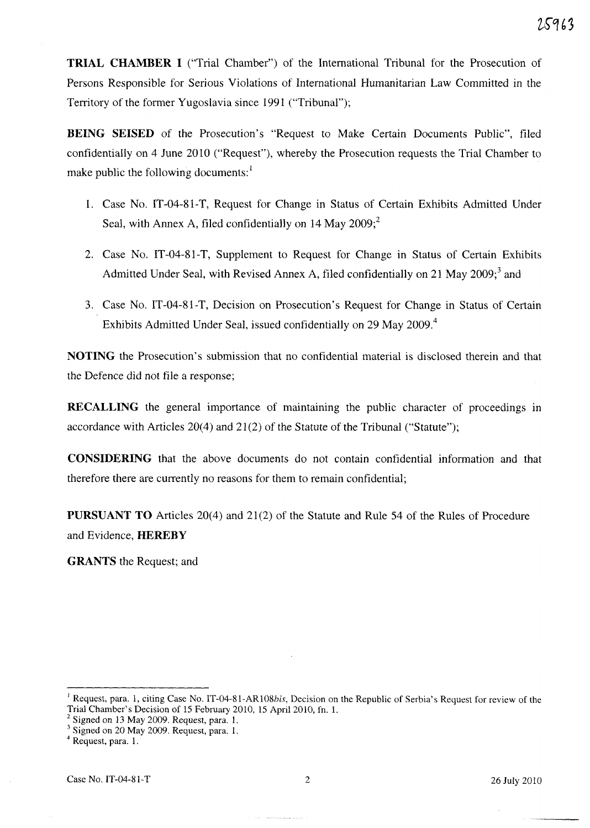**TRIAL CHAMBER I** ("Trial Chamber") of the International Tribunal for the Prosecution of Persons Responsible for Serious Violations of International Humanitarian Law Committed in the Territory of the former Yugoslavia since 1991 ("Tribunal");

**BEING SEISED** of the Prosecution's "Request to Make Certain Documents Public", filed confidentially on 4 June 2010 ("Request"), whereby the Prosecution requests the Trial Chamber to make public the following documents:<sup>1</sup>

- 1. Case No. IT-04-81-T, Request for Change in Status of Certain Exhibits Admitted Under Seal, with Annex A, filed confidentially on  $14$  May  $2009$ ;<sup>2</sup>
- 2. Case No. IT-04-81-T, Supplement to Request for Change in Status of Certain Exhibits Admitted Under Seal, with Revised Annex A, filed confidentially on 21 May  $2009$ ; and
- 3. Case No. IT-04-81-T, Decision on Prosecution's Request for Change in Status of Certain Exhibits Admitted Under Seal, issued confidentially on 29 May 2009.<sup>4</sup>

**NOTING** the Prosecution's submission that no confidential material is disclosed therein and that the Defence did not file a response;

**RECALLING** the general importance of maintaining the public character of proceedings in accordance with Articles  $20(4)$  and  $21(2)$  of the Statute of the Tribunal ("Statute");

**CONSIDERING** that the above documents do not contain confidential information and that therefore there are currently no reasons for them to remain confidential;

**PURSUANT TO** Articles 20(4) and 21(2) of the Statute and Rule 54 of the Rules of Procedure and Evidence, **HEREBY** 

**GRANTS** the Request; and

<sup>&</sup>lt;sup>1</sup> Request, para. 1, citing Case No. IT-04-81-AR108bis, Decision on the Republic of Serbia's Request for review of the Trial Chamber's Decision of 15 February 2010, 15 April 2010, fn. 1.

 $2$  Signed on 13 May 2009. Request, para. 1.

<sup>&</sup>lt;sup>3</sup> Signed on 20 May 2009. Request, para. 1.

<sup>4</sup> Request, para. 1.